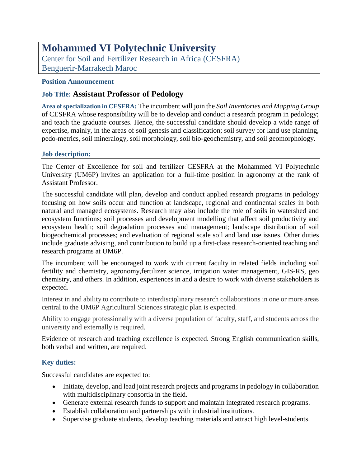# **Mohammed VI Polytechnic University**

Center for Soil and Fertilizer Research in Africa (CESFRA) Benguerir-Marrakech Maroc

#### **Position Announcement**

## **Job Title: Assistant Professor of Pedology**

**Area of specialization in CESFRA:** The incumbent will join the *Soil Inventories and Mapping Group* of CESFRA whose responsibility will be to develop and conduct a research program in pedology; and teach the graduate courses. Hence, the successful candidate should develop a wide range of expertise, mainly, in the areas of soil genesis and classification; soil survey for land use planning, pedo-metrics, soil mineralogy, soil morphology, soil bio-geochemistry, and soil geomorphology.

#### **Job description:**

The Center of Excellence for soil and fertilizer CESFRA at the Mohammed VI Polytechnic University (UM6P) invites an application for a full-time position in agronomy at the rank of Assistant Professor.

The successful candidate will plan, develop and conduct applied research programs in pedology focusing on how soils occur and function at landscape, regional and continental scales in both natural and managed ecosystems. Research may also include the role of soils in watershed and ecosystem functions; soil processes and development modelling that affect soil productivity and ecosystem health; soil degradation processes and management; landscape distribution of soil biogeochemical processes; and evaluation of regional scale soil and land use issues. Other duties include graduate advising, and contribution to build up a first-class research-oriented teaching and research programs at UM6P.

The incumbent will be encouraged to work with current faculty in related fields including soil fertility and chemistry, agronomy,fertilizer science, irrigation water management, GIS-RS, geo chemistry, and others. In addition, experiences in and a desire to work with diverse stakeholders is expected.

Interest in and ability to contribute to interdisciplinary research collaborations in one or more areas central to the UM6P Agricultural Sciences strategic plan is expected.

Ability to engage professionally with a diverse population of faculty, staff, and students across the university and externally is required.

Evidence of research and teaching excellence is expected. Strong English communication skills, both verbal and written, are required.

#### **Key duties:**

Successful candidates are expected to:

- Initiate, develop, and lead joint research projects and programs in pedology in collaboration with multidisciplinary consortia in the field.
- Generate external research funds to support and maintain integrated research programs.
- Establish collaboration and partnerships with industrial institutions.
- Supervise graduate students, develop teaching materials and attract high level-students.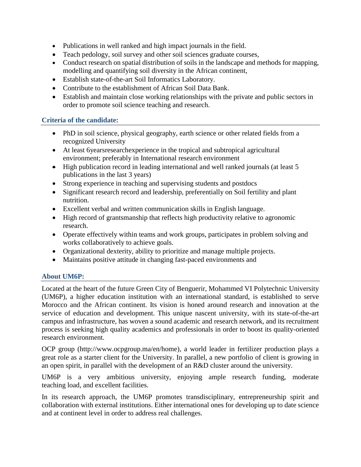- Publications in well ranked and high impact journals in the field.
- Teach pedology, soil survey and other soil sciences graduate courses,
- Conduct research on spatial distribution of soils in the landscape and methods for mapping, modelling and quantifying soil diversity in the African continent,
- Establish state-of-the-art Soil Informatics Laboratory.
- Contribute to the establishment of African Soil Data Bank.
- Establish and maintain close working relationships with the private and public sectors in order to promote soil science teaching and research.

### **Criteria of the candidate:**

- PhD in soil science, physical geography, earth science or other related fields from a recognized University
- At least 6yearsresearchexperience in the tropical and subtropical agricultural environment; preferably in International research environment
- $\bullet$  High publication record in leading international and well ranked journals (at least 5 publications in the last 3 years)
- Strong experience in teaching and supervising students and postdocs
- Significant research record and leadership, preferentially on Soil fertility and plant nutrition.
- Excellent verbal and written communication skills in English language.
- High record of grantsmanship that reflects high productivity relative to agronomic research.
- Operate effectively within teams and work groups, participates in problem solving and works collaboratively to achieve goals.
- Organizational dexterity, ability to prioritize and manage multiple projects.
- Maintains positive attitude in changing fast-paced environments and

## **About UM6P:**

Located at the heart of the future Green City of Benguerir, Mohammed VI Polytechnic University (UM6P), a higher education institution with an international standard, is established to serve Morocco and the African continent. Its vision is honed around research and innovation at the service of education and development. This unique nascent university, with its state-of-the-art campus and infrastructure, has woven a sound academic and research network, and its recruitment process is seeking high quality academics and professionals in order to boost its quality-oriented research environment.

OCP group (http://www.ocpgroup.ma/en/home), a world leader in fertilizer production plays a great role as a starter client for the University. In parallel, a new portfolio of client is growing in an open spirit, in parallel with the development of an R&D cluster around the university.

UM6P is a very ambitious university, enjoying ample research funding, moderate teaching load, and excellent facilities.

In its research approach, the UM6P promotes transdisciplinary, entrepreneurship spirit and collaboration with external institutions. Either international ones for developing up to date science and at continent level in order to address real challenges.